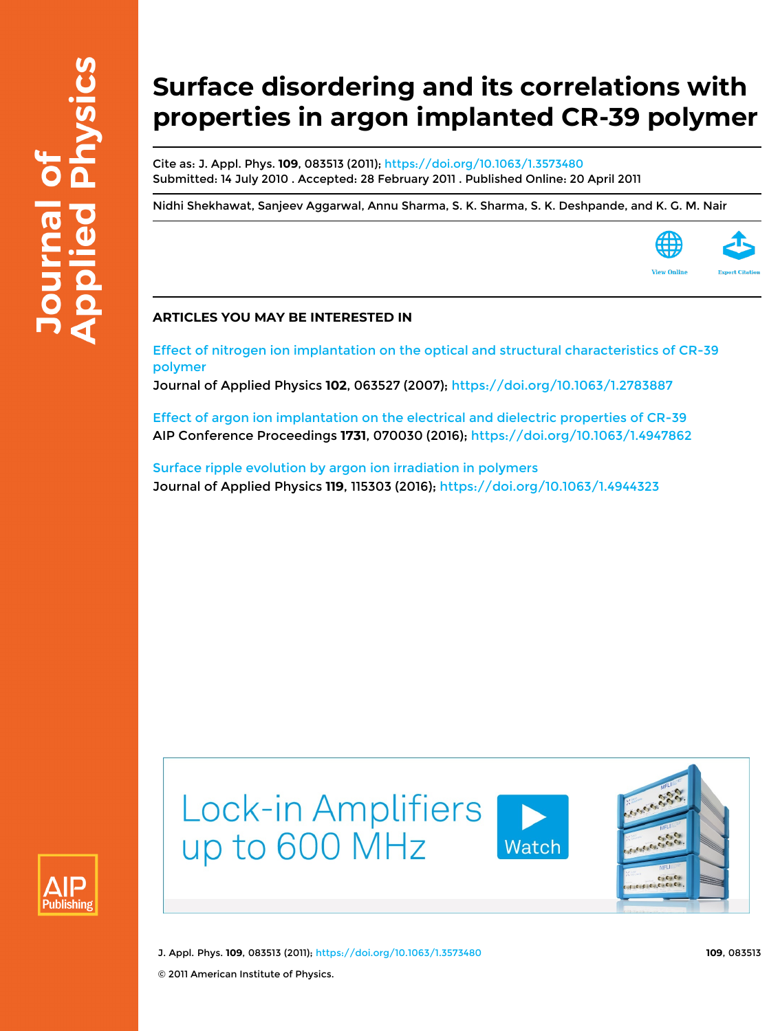# **Surface disordering and its correlations with properties in argon implanted CR-39 polymer**

Cite as: J. Appl. Phys. **109**, 083513 (2011); <https://doi.org/10.1063/1.3573480> Submitted: 14 July 2010 . Accepted: 28 February 2011 . Published Online: 20 April 2011

[Nidhi Shekhawat](https://aip.scitation.org/author/Shekhawat%2C+Nidhi), [Sanjeev Aggarwal,](https://aip.scitation.org/author/Aggarwal%2C+Sanjeev) [Annu Sharma,](https://aip.scitation.org/author/Sharma%2C+Annu) [S. K. Sharma,](https://aip.scitation.org/author/Sharma%2C+S+K) [S. K. Deshpande](https://aip.scitation.org/author/Deshpande%2C+S+K), and [K. G. M. Nair](https://aip.scitation.org/author/Nair%2C+K+G+M)



### **ARTICLES YOU MAY BE INTERESTED IN**

[Effect of nitrogen ion implantation on the optical and structural characteristics of CR-39](https://aip.scitation.org/doi/10.1063/1.2783887) [polymer](https://aip.scitation.org/doi/10.1063/1.2783887)

Journal of Applied Physics **102**, 063527 (2007); <https://doi.org/10.1063/1.2783887>

[Effect of argon ion implantation on the electrical and dielectric properties of CR-39](https://aip.scitation.org/doi/10.1063/1.4947862) AIP Conference Proceedings **1731**, 070030 (2016); <https://doi.org/10.1063/1.4947862>

[Surface ripple evolution by argon ion irradiation in polymers](https://aip.scitation.org/doi/10.1063/1.4944323) Journal of Applied Physics **119**, 115303 (2016);<https://doi.org/10.1063/1.4944323>





J. Appl. Phys. **109**, 083513 (2011); <https://doi.org/10.1063/1.3573480> **109**, 083513

© 2011 American Institute of Physics.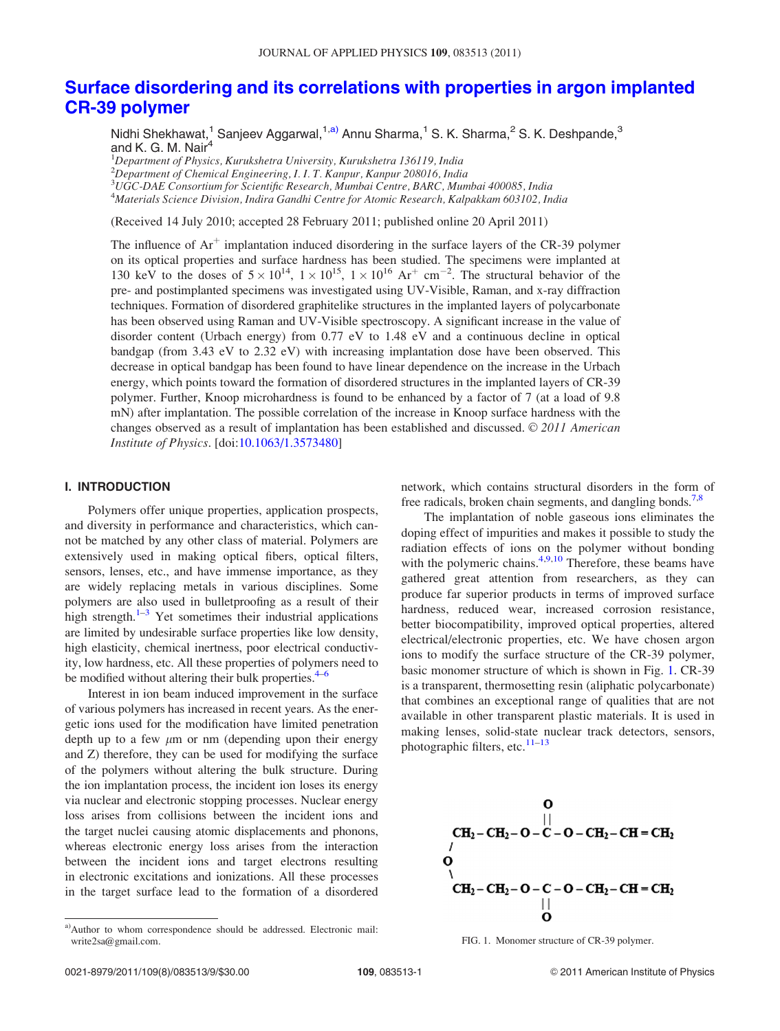## [Surface disordering and its correlations with properties in argon implanted](http://dx.doi.org/10.1063/1.3573480) [CR-39 polymer](http://dx.doi.org/10.1063/1.3573480)

Nidhi Shekhawat,<sup>1</sup> Sanjeev Aggarwal,<sup>1,a)</sup> Annu Sharma,<sup>1</sup> S. K. Sharma,<sup>2</sup> S. K. Deshpande,<sup>3</sup> and K. G. M. Nair<sup>4</sup>

<sup>1</sup>Department of Physics, Kurukshetra University, Kurukshetra 136119, India

<sup>2</sup>Department of Chemical Engineering, I. I. T. Kanpur, Kanpur 208016, India

3 UGC-DAE Consortium for Scientific Research, Mumbai Centre, BARC, Mumbai 400085, India

4 Materials Science Division, Indira Gandhi Centre for Atomic Research, Kalpakkam 603102, India

(Received 14 July 2010; accepted 28 February 2011; published online 20 April 2011)

The influence of  $Ar^+$  implantation induced disordering in the surface layers of the CR-39 polymer on its optical properties and surface hardness has been studied. The specimens were implanted at 130 keV to the doses of  $5 \times 10^{14}$ ,  $1 \times 10^{15}$ ,  $1 \times 10^{16}$  Ar<sup>+</sup> cm<sup>-2</sup>. The structural behavior of the pre- and postimplanted specimens was investigated using UV-Visible, Raman, and x-ray diffraction techniques. Formation of disordered graphitelike structures in the implanted layers of polycarbonate has been observed using Raman and UV-Visible spectroscopy. A significant increase in the value of disorder content (Urbach energy) from 0.77 eV to 1.48 eV and a continuous decline in optical bandgap (from 3.43 eV to 2.32 eV) with increasing implantation dose have been observed. This decrease in optical bandgap has been found to have linear dependence on the increase in the Urbach energy, which points toward the formation of disordered structures in the implanted layers of CR-39 polymer. Further, Knoop microhardness is found to be enhanced by a factor of 7 (at a load of 9.8 mN) after implantation. The possible correlation of the increase in Knoop surface hardness with the changes observed as a result of implantation has been established and discussed.  $\odot$  2011 American Institute of Physics. [doi[:10.1063/1.3573480](http://dx.doi.org/10.1063/1.3573480)]

#### I. INTRODUCTION

Polymers offer unique properties, application prospects, and diversity in performance and characteristics, which cannot be matched by any other class of material. Polymers are extensively used in making optical fibers, optical filters, sensors, lenses, etc., and have immense importance, as they are widely replacing metals in various disciplines. Some polymers are also used in bulletproofing as a result of their high strength. $1-3$  $1-3$  $1-3$  Yet sometimes their industrial applications are limited by undesirable surface properties like low density, high elasticity, chemical inertness, poor electrical conductivity, low hardness, etc. All these properties of polymers need to be modified without altering their bulk properties. $4-6$ 

Interest in ion beam induced improvement in the surface of various polymers has increased in recent years. As the energetic ions used for the modification have limited penetration depth up to a few  $\mu$ m or nm (depending upon their energy and Z) therefore, they can be used for modifying the surface of the polymers without altering the bulk structure. During the ion implantation process, the incident ion loses its energy via nuclear and electronic stopping processes. Nuclear energy loss arises from collisions between the incident ions and the target nuclei causing atomic displacements and phonons, whereas electronic energy loss arises from the interaction between the incident ions and target electrons resulting in electronic excitations and ionizations. All these processes in the target surface lead to the formation of a disordered network, which contains structural disorders in the form of free radicals, broken chain segments, and dangling bonds.<sup>7,8</sup>

The implantation of noble gaseous ions eliminates the doping effect of impurities and makes it possible to study the radiation effects of ions on the polymer without bonding with the polymeric chains. $4,9,10$  Therefore, these beams have gathered great attention from researchers, as they can produce far superior products in terms of improved surface hardness, reduced wear, increased corrosion resistance, better biocompatibility, improved optical properties, altered electrical/electronic properties, etc. We have chosen argon ions to modify the surface structure of the CR-39 polymer, basic monomer structure of which is shown in Fig. 1. CR-39 is a transparent, thermosetting resin (aliphatic polycarbonate) that combines an exceptional range of qualities that are not available in other transparent plastic materials. It is used in making lenses, solid-state nuclear track detectors, sensors, photographic filters, etc. $11-13$  $11-13$  $11-13$ 



FIG. 1. Monomer structure of CR-39 polymer.

a)Author to whom correspondence should be addressed. Electronic mail: write2sa@gmail.com.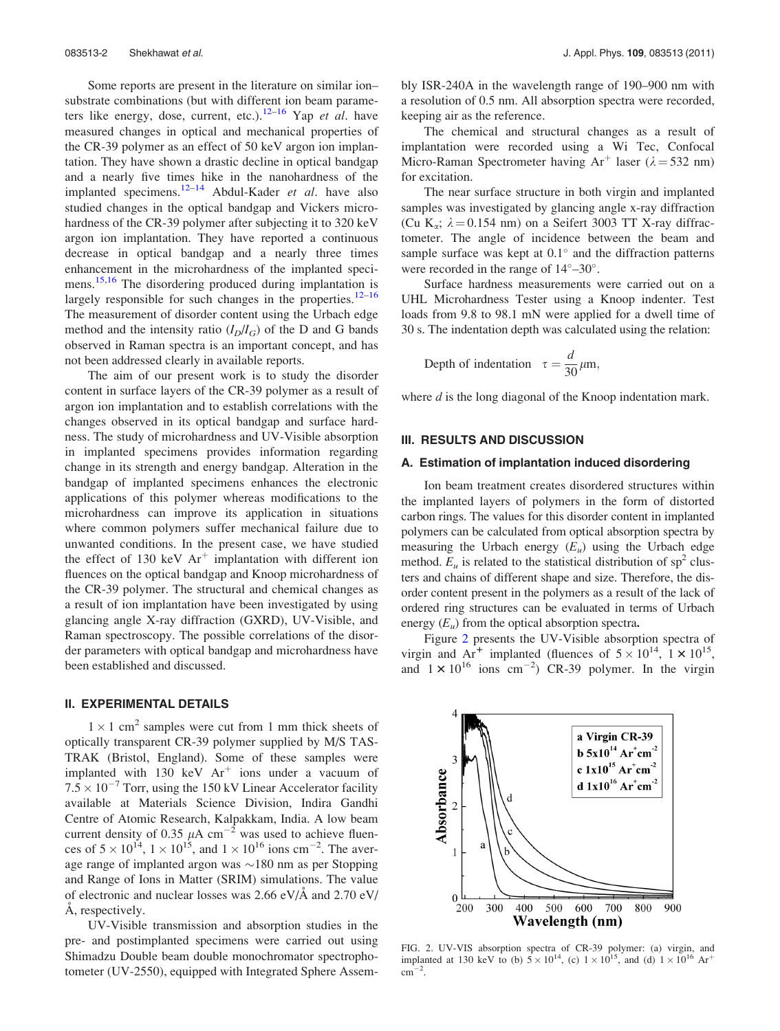<span id="page-2-0"></span>Some reports are present in the literature on similar ion– substrate combinations (but with different ion beam parame-ters like energy, dose, current, etc.).<sup>[12–16](#page-8-0)</sup> Yap *et al.* have measured changes in optical and mechanical properties of the CR-39 polymer as an effect of 50 keV argon ion implantation. They have shown a drastic decline in optical bandgap and a nearly five times hike in the nanohardness of the implanted specimens.<sup>[12](#page-8-0)–[14](#page-8-0)</sup> Abdul-Kader et al. have also studied changes in the optical bandgap and Vickers microhardness of the CR-39 polymer after subjecting it to 320 keV argon ion implantation. They have reported a continuous decrease in optical bandgap and a nearly three times enhancement in the microhardness of the implanted speci-mens.<sup>[15,16](#page-8-0)</sup> The disordering produced during implantation is largely responsible for such changes in the properties.<sup>[12–16](#page-8-0)</sup> The measurement of disorder content using the Urbach edge method and the intensity ratio  $(I_D/I_G)$  of the D and G bands observed in Raman spectra is an important concept, and has not been addressed clearly in available reports.

The aim of our present work is to study the disorder content in surface layers of the CR-39 polymer as a result of argon ion implantation and to establish correlations with the changes observed in its optical bandgap and surface hardness. The study of microhardness and UV-Visible absorption in implanted specimens provides information regarding change in its strength and energy bandgap. Alteration in the bandgap of implanted specimens enhances the electronic applications of this polymer whereas modifications to the microhardness can improve its application in situations where common polymers suffer mechanical failure due to unwanted conditions. In the present case, we have studied the effect of 130 keV  $Ar^+$  implantation with different ion fluences on the optical bandgap and Knoop microhardness of the CR-39 polymer. The structural and chemical changes as a result of ion implantation have been investigated by using glancing angle X-ray diffraction (GXRD), UV-Visible, and Raman spectroscopy. The possible correlations of the disorder parameters with optical bandgap and microhardness have been established and discussed.

#### II. EXPERIMENTAL DETAILS

 $1 \times 1$  cm<sup>2</sup> samples were cut from 1 mm thick sheets of optically transparent CR-39 polymer supplied by M/S TAS-TRAK (Bristol, England). Some of these samples were implanted with 130 keV  $Ar<sup>+</sup>$  ions under a vacuum of  $7.5 \times 10^{-7}$  Torr, using the 150 kV Linear Accelerator facility available at Materials Science Division, Indira Gandhi Centre of Atomic Research, Kalpakkam, India. A low beam current density of 0.35  $\mu$ A cm<sup>-2</sup> was used to achieve fluences of  $5 \times 10^{14}$ ,  $1 \times 10^{15}$ , and  $1 \times 10^{16}$  ions cm<sup>-2</sup>. The average range of implanted argon was  $\sim$ 180 nm as per Stopping and Range of Ions in Matter (SRIM) simulations. The value of electronic and nuclear losses was  $2.66 \text{ eV/A}$  and  $2.70 \text{ eV}$ Å, respectively.

UV-Visible transmission and absorption studies in the pre- and postimplanted specimens were carried out using Shimadzu Double beam double monochromator spectrophotometer (UV-2550), equipped with Integrated Sphere Assembly ISR-240A in the wavelength range of 190–900 nm with a resolution of 0.5 nm. All absorption spectra were recorded, keeping air as the reference.

The chemical and structural changes as a result of implantation were recorded using a Wi Tec, Confocal Micro-Raman Spectrometer having Ar<sup>+</sup> laser ( $\lambda$  = 532 nm) for excitation.

The near surface structure in both virgin and implanted samples was investigated by glancing angle x-ray diffraction (Cu K<sub>a</sub>;  $\lambda = 0.154$  nm) on a Seifert 3003 TT X-ray diffractometer. The angle of incidence between the beam and sample surface was kept at  $0.1^\circ$  and the diffraction patterns were recorded in the range of  $14^{\circ} - 30^{\circ}$ .

Surface hardness measurements were carried out on a UHL Microhardness Tester using a Knoop indenter. Test loads from 9.8 to 98.1 mN were applied for a dwell time of 30 s. The indentation depth was calculated using the relation:

Depth of indentation 
$$
\tau = \frac{d}{30} \mu \text{m}
$$
,

where *d* is the long diagonal of the Knoop indentation mark.

#### III. RESULTS AND DISCUSSION

#### A. Estimation of implantation induced disordering

Ion beam treatment creates disordered structures within the implanted layers of polymers in the form of distorted carbon rings. The values for this disorder content in implanted polymers can be calculated from optical absorption spectra by measuring the Urbach energy  $(E_u)$  using the Urbach edge method.  $E_u$  is related to the statistical distribution of sp<sup>2</sup> clusters and chains of different shape and size. Therefore, the disorder content present in the polymers as a result of the lack of ordered ring structures can be evaluated in terms of Urbach energy  $(E_u)$  from the optical absorption spectra.

Figure 2 presents the UV-Visible absorption spectra of virgin and  $Ar^+$  implanted (fluences of  $5 \times 10^{14}$ ,  $1 \times 10^{15}$ , and  $1 \times 10^{16}$  ions cm<sup>-2</sup>) CR-39 polymer. In the virgin



FIG. 2. UV-VIS absorption spectra of CR-39 polymer: (a) virgin, and implanted at 130 keV to (b)  $5 \times 10^{14}$ , (c)  $1 \times 10^{15}$ , and (d)  $1 \times 10^{16}$  Ar<sup>+</sup>  $\mathrm{cm}^{-2}$ .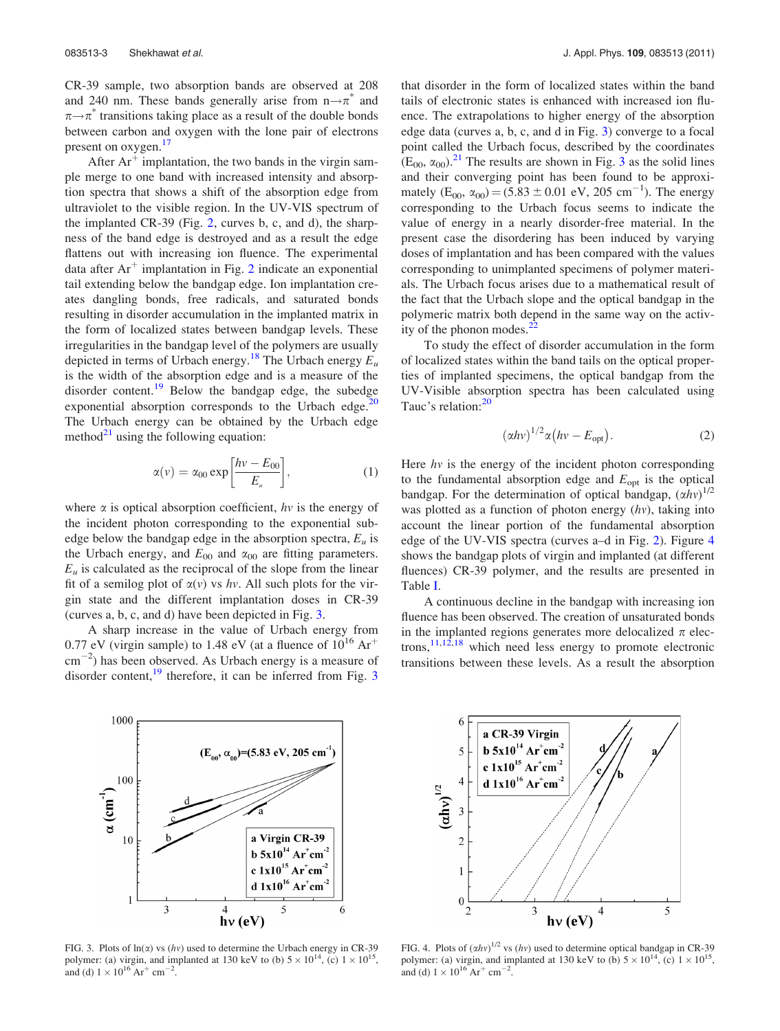CR-39 sample, two absorption bands are observed at 208 and 240 nm. These bands generally arise from  $n \rightarrow \pi^*$  and  $\pi \rightarrow \pi^*$  transitions taking place as a result of the double bonds between carbon and oxygen with the lone pair of electrons present on oxygen.<sup>[17](#page-8-0)</sup>

After  $Ar^+$  implantation, the two bands in the virgin sample merge to one band with increased intensity and absorption spectra that shows a shift of the absorption edge from ultraviolet to the visible region. In the UV-VIS spectrum of the implanted CR-39 (Fig. [2,](#page-2-0) curves b, c, and d), the sharpness of the band edge is destroyed and as a result the edge flattens out with increasing ion fluence. The experimental data after  $Ar^+$  implantation in Fig. [2](#page-2-0) indicate an exponential tail extending below the bandgap edge. Ion implantation creates dangling bonds, free radicals, and saturated bonds resulting in disorder accumulation in the implanted matrix in the form of localized states between bandgap levels. These irregularities in the bandgap level of the polymers are usually depicted in terms of Urbach energy.<sup>[18](#page-8-0)</sup> The Urbach energy  $E_u$ is the width of the absorption edge and is a measure of the disorder content.<sup>[19](#page-8-0)</sup> Below the bandgap edge, the subedge exponential absorption corresponds to the Urbach edge. $^{20}$  $^{20}$  $^{20}$ The Urbach energy can be obtained by the Urbach edge method $^{21}$  $^{21}$  $^{21}$  using the following equation:

$$
\alpha(v) = \alpha_{00} \exp\left[\frac{hv - E_{00}}{E_u}\right],\tag{1}
$$

where  $\alpha$  is optical absorption coefficient, hv is the energy of the incident photon corresponding to the exponential subedge below the bandgap edge in the absorption spectra,  $E_u$  is the Urbach energy, and  $E_{00}$  and  $\alpha_{00}$  are fitting parameters.  $E_u$  is calculated as the reciprocal of the slope from the linear fit of a semilog plot of  $\alpha(v)$  vs hv. All such plots for the virgin state and the different implantation doses in CR-39 (curves a, b, c, and d) have been depicted in Fig. 3.

A sharp increase in the value of Urbach energy from 0.77 eV (virgin sample) to 1.48 eV (at a fluence of  $10^{16}$  Ar<sup>+</sup>  $\text{cm}^{-2}$ ) has been observed. As Urbach energy is a measure of disorder content, $^{19}$  $^{19}$  $^{19}$  therefore, it can be inferred from Fig. 3



FIG. 3. Plots of  $ln(x)$  vs (hv) used to determine the Urbach energy in CR-39 polymer: (a) virgin, and implanted at 130 keV to (b)  $5 \times 10^{14}$ , (c)  $1 \times 10^{15}$ , and (d)  $1 \times 10^{16}$  Ar<sup>+</sup> cm<sup>-2</sup>.

that disorder in the form of localized states within the band tails of electronic states is enhanced with increased ion fluence. The extrapolations to higher energy of the absorption edge data (curves a, b, c, and d in Fig. 3) converge to a focal point called the Urbach focus, described by the coordinates  $(E_{00}, \alpha_{00})$ .<sup>[21](#page-8-0)</sup> The results are shown in Fig. 3 as the solid lines and their converging point has been found to be approximately  $(E_{00}, \alpha_{00}) = (5.83 \pm 0.01 \text{ eV}, 205 \text{ cm}^{-1})$ . The energy corresponding to the Urbach focus seems to indicate the value of energy in a nearly disorder-free material. In the present case the disordering has been induced by varying doses of implantation and has been compared with the values corresponding to unimplanted specimens of polymer materials. The Urbach focus arises due to a mathematical result of the fact that the Urbach slope and the optical bandgap in the polymeric matrix both depend in the same way on the activity of the phonon modes.<sup>2</sup>

To study the effect of disorder accumulation in the form of localized states within the band tails on the optical properties of implanted specimens, the optical bandgap from the UV-Visible absorption spectra has been calculated using Tauc's relation:<sup>[20](#page-8-0)</sup>

$$
(\alpha h v)^{1/2} \alpha (h v - E_{\text{opt}}). \tag{2}
$$

Here  $hv$  is the energy of the incident photon corresponding to the fundamental absorption edge and  $E_{opt}$  is the optical bandgap. For the determination of optical bandgap,  $(\alpha h v)^{1/2}$ was plotted as a function of photon energy  $(hv)$ , taking into account the linear portion of the fundamental absorption edge of the UV-VIS spectra (curves a–d in Fig. [2\)](#page-2-0). Figure 4 shows the bandgap plots of virgin and implanted (at different fluences) CR-39 polymer, and the results are presented in Table [I.](#page-4-0)

A continuous decline in the bandgap with increasing ion fluence has been observed. The creation of unsaturated bonds in the implanted regions generates more delocalized  $\pi$  electrons, $11,12,18$  $11,12,18$  $11,12,18$  which need less energy to promote electronic transitions between these levels. As a result the absorption



FIG. 4. Plots of  $(\alpha h v)^{1/2}$  vs  $(hv)$  used to determine optical bandgap in CR-39 polymer: (a) virgin, and implanted at 130 keV to (b)  $5 \times 10^{14}$ , (c)  $1 \times 10^{15}$ , and (d)  $1 \times 10^{16}$  Ar<sup>+</sup> cm<sup>-2</sup>.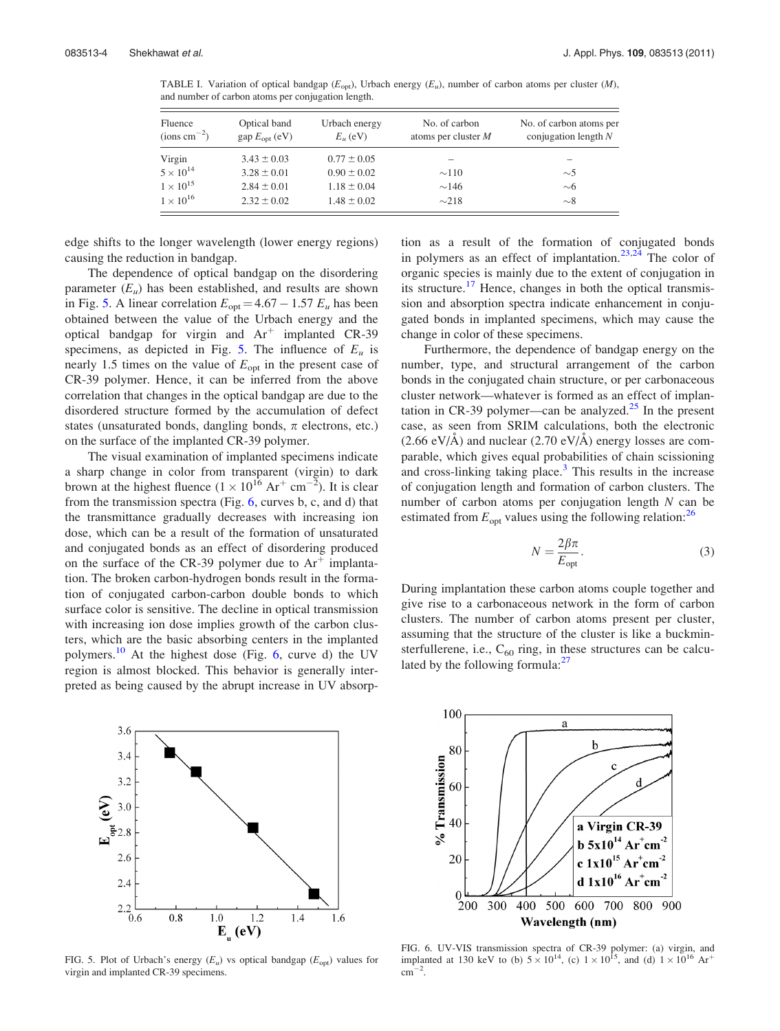<span id="page-4-0"></span>TABLE I. Variation of optical bandgap ( $E_{opt}$ ), Urbach energy ( $E_u$ ), number of carbon atoms per cluster (M), and number of carbon atoms per conjugation length.

| Fluence<br>Optical band<br>$\text{(ions cm}^{-2})$<br>gap E <sub>opt</sub> (eV) |                 | Urbach energy<br>$E_u$ (eV) | No. of carbon<br>atoms per cluster $M$ | No. of carbon atoms per<br>conjugation length $N$ |  |  |
|---------------------------------------------------------------------------------|-----------------|-----------------------------|----------------------------------------|---------------------------------------------------|--|--|
| Virgin                                                                          | $3.43 \pm 0.03$ | $0.77 \pm 0.05$             |                                        |                                                   |  |  |
| $5 \times 10^{14}$                                                              | $3.28 \pm 0.01$ | $0.90 \pm 0.02$             | $\sim$ 110                             | $\sim$ 5                                          |  |  |
| $1 \times 10^{15}$                                                              | $2.84 \pm 0.01$ | $1.18 \pm 0.04$             | $\sim$ 146                             | $\sim$ 6                                          |  |  |
| $1 \times 10^{16}$                                                              | $2.32 \pm 0.02$ | $1.48 \pm 0.02$             | $\sim$ 218                             | $\sim$ 8                                          |  |  |

edge shifts to the longer wavelength (lower energy regions) causing the reduction in bandgap.

The dependence of optical bandgap on the disordering parameter  $(E_u)$  has been established, and results are shown in Fig. 5. A linear correlation  $E_{opt} = 4.67 - 1.57 E_u$  has been obtained between the value of the Urbach energy and the optical bandgap for virgin and  $Ar^+$  implanted CR-39 specimens, as depicted in Fig. 5. The influence of  $E_u$  is nearly 1.5 times on the value of  $E_{opt}$  in the present case of CR-39 polymer. Hence, it can be inferred from the above correlation that changes in the optical bandgap are due to the disordered structure formed by the accumulation of defect states (unsaturated bonds, dangling bonds,  $\pi$  electrons, etc.) on the surface of the implanted CR-39 polymer.

The visual examination of implanted specimens indicate a sharp change in color from transparent (virgin) to dark brown at the highest fluence  $(1 \times 10^{16} \text{ Ar}^+ \text{ cm}^{-2})$ . It is clear from the transmission spectra (Fig. 6, curves b, c, and d) that the transmittance gradually decreases with increasing ion dose, which can be a result of the formation of unsaturated and conjugated bonds as an effect of disordering produced on the surface of the CR-39 polymer due to  $Ar^+$  implantation. The broken carbon-hydrogen bonds result in the formation of conjugated carbon-carbon double bonds to which surface color is sensitive. The decline in optical transmission with increasing ion dose implies growth of the carbon clusters, which are the basic absorbing centers in the implanted polymers.<sup>[10](#page-8-0)</sup> At the highest dose (Fig. 6, curve d) the UV region is almost blocked. This behavior is generally interpreted as being caused by the abrupt increase in UV absorp-



FIG. 5. Plot of Urbach's energy  $(E_u)$  vs optical bandgap  $(E_{opt})$  values for virgin and implanted CR-39 specimens.

tion as a result of the formation of conjugated bonds in polymers as an effect of implantation.<sup>[23,24](#page-8-0)</sup> The color of organic species is mainly due to the extent of conjugation in its structure.<sup>[17](#page-8-0)</sup> Hence, changes in both the optical transmission and absorption spectra indicate enhancement in conjugated bonds in implanted specimens, which may cause the change in color of these specimens.

Furthermore, the dependence of bandgap energy on the number, type, and structural arrangement of the carbon bonds in the conjugated chain structure, or per carbonaceous cluster network—whatever is formed as an effect of implantation in CR-39 polymer—can be analyzed. $25$  In the present case, as seen from SRIM calculations, both the electronic  $(2.66 \text{ eV/A})$  and nuclear  $(2.70 \text{ eV/A})$  energy losses are comparable, which gives equal probabilities of chain scissioning and cross-linking taking place. $3$  This results in the increase of conjugation length and formation of carbon clusters. The number of carbon atoms per conjugation length  $N$  can be estimated from  $E_{opt}$  values using the following relation:<sup>[26](#page-8-0)</sup>

$$
N = \frac{2\beta\pi}{E_{\text{opt}}}.\tag{3}
$$

During implantation these carbon atoms couple together and give rise to a carbonaceous network in the form of carbon clusters. The number of carbon atoms present per cluster, assuming that the structure of the cluster is like a buckminsterfullerene, i.e.,  $C_{60}$  ring, in these structures can be calcu-lated by the following formula:<sup>[27](#page-8-0)</sup>



FIG. 6. UV-VIS transmission spectra of CR-39 polymer: (a) virgin, and implanted at 130 keV to (b)  $5 \times 10^{14}$ , (c)  $1 \times 10^{15}$ , and (d)  $1 \times 10^{16}$  Ar<sup>+</sup>  $\mathrm{cm}^{-2}$ .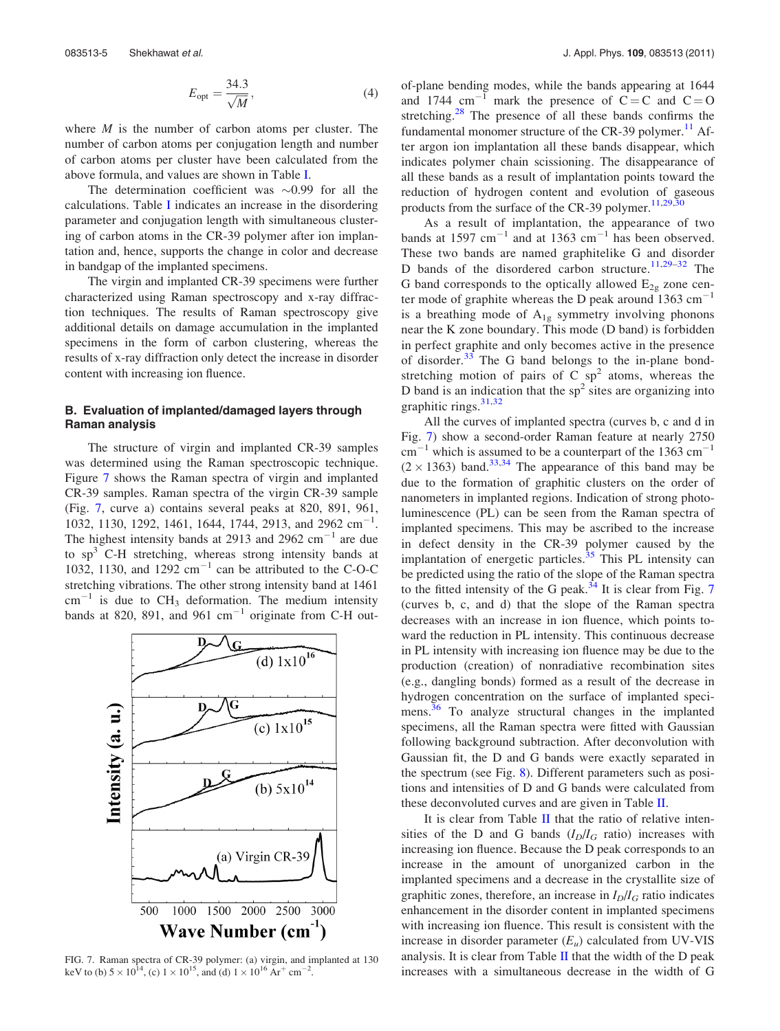$$
E_{\rm opt} = \frac{34.3}{\sqrt{M}},\tag{4}
$$

where  $M$  is the number of carbon atoms per cluster. The number of carbon atoms per conjugation length and number of carbon atoms per cluster have been calculated from the above formula, and values are shown in Table [I.](#page-4-0)

The determination coefficient was  $\sim 0.99$  for all the calculations. Table [I](#page-4-0) indicates an increase in the disordering parameter and conjugation length with simultaneous clustering of carbon atoms in the CR-39 polymer after ion implantation and, hence, supports the change in color and decrease in bandgap of the implanted specimens.

The virgin and implanted CR-39 specimens were further characterized using Raman spectroscopy and x-ray diffraction techniques. The results of Raman spectroscopy give additional details on damage accumulation in the implanted specimens in the form of carbon clustering, whereas the results of x-ray diffraction only detect the increase in disorder content with increasing ion fluence.

#### B. Evaluation of implanted/damaged layers through Raman analysis

The structure of virgin and implanted CR-39 samples was determined using the Raman spectroscopic technique. Figure 7 shows the Raman spectra of virgin and implanted CR-39 samples. Raman spectra of the virgin CR-39 sample (Fig. 7, curve a) contains several peaks at 820, 891, 961, 1032, 1130, 1292, 1461, 1644, 1744, 2913, and 2962 cm<sup>-1</sup>. The highest intensity bands at 2913 and 2962  $\text{cm}^{-1}$  are due to  $sp<sup>3</sup>$  C-H stretching, whereas strong intensity bands at 1032, 1130, and 1292  $\text{cm}^{-1}$  can be attributed to the C-O-C stretching vibrations. The other strong intensity band at 1461  $cm^{-1}$  is due to CH<sub>3</sub> deformation. The medium intensity bands at 820, 891, and 961  $cm^{-1}$  originate from C-H out-



FIG. 7. Raman spectra of CR-39 polymer: (a) virgin, and implanted at 130 keV to (b)  $5 \times 10^{14}$ , (c)  $1 \times 10^{15}$ , and (d)  $1 \times 10^{16}$  Ar<sup>+</sup> cm<sup>-2</sup>.

of-plane bending modes, while the bands appearing at 1644 and 1744 cm<sup>-1</sup> mark the presence of  $C = C$  and  $C = O$ stretching. $28$  The presence of all these bands confirms the fundamental monomer structure of the CR-39 polymer.<sup>[11](#page-8-0)</sup> After argon ion implantation all these bands disappear, which indicates polymer chain scissioning. The disappearance of all these bands as a result of implantation points toward the reduction of hydrogen content and evolution of gaseous products from the surface of the CR-39 polymer. $11,29,30$ 

As a result of implantation, the appearance of two bands at 1597  $cm^{-1}$  and at 1363  $cm^{-1}$  has been observed. These two bands are named graphitelike G and disorder D bands of the disordered carbon structure.<sup>[11,29](#page-8-0)–[32](#page-8-0)</sup> The G band corresponds to the optically allowed  $E_{2g}$  zone center mode of graphite whereas the D peak around 1363  $cm^{-1}$ is a breathing mode of  $A_{1g}$  symmetry involving phonons near the K zone boundary. This mode (D band) is forbidden in perfect graphite and only becomes active in the presence of disorder.[33](#page-8-0) The G band belongs to the in-plane bondstretching motion of pairs of C  $sp<sup>2</sup>$  atoms, whereas the D band is an indication that the  $sp^2$  sites are organizing into graphitic rings.<sup>[31](#page-8-0),[32](#page-8-0)</sup>

All the curves of implanted spectra (curves b, c and d in Fig. 7) show a second-order Raman feature at nearly 2750  $cm^{-1}$  which is assumed to be a counterpart of the 1363  $cm^{-1}$  $(2 \times 1363)$  band.<sup>[33,34](#page-8-0)</sup> The appearance of this band may be due to the formation of graphitic clusters on the order of nanometers in implanted regions. Indication of strong photoluminescence (PL) can be seen from the Raman spectra of implanted specimens. This may be ascribed to the increase in defect density in the CR-39 polymer caused by the implantation of energetic particles. $35$  This PL intensity can be predicted using the ratio of the slope of the Raman spectra to the fitted intensity of the G peak. $^{34}$  $^{34}$  $^{34}$  It is clear from Fig. 7 (curves b, c, and d) that the slope of the Raman spectra decreases with an increase in ion fluence, which points toward the reduction in PL intensity. This continuous decrease in PL intensity with increasing ion fluence may be due to the production (creation) of nonradiative recombination sites (e.g., dangling bonds) formed as a result of the decrease in hydrogen concentration on the surface of implanted speci-mens.<sup>[36](#page-8-0)</sup> To analyze structural changes in the implanted specimens, all the Raman spectra were fitted with Gaussian following background subtraction. After deconvolution with Gaussian fit, the D and G bands were exactly separated in the spectrum (see Fig. [8\)](#page-6-0). Different parameters such as positions and intensities of D and G bands were calculated from these deconvoluted curves and are given in Table [II](#page-6-0).

It is clear from Table [II](#page-6-0) that the ratio of relative intensities of the D and G bands  $(I_D/I_G$  ratio) increases with increasing ion fluence. Because the D peak corresponds to an increase in the amount of unorganized carbon in the implanted specimens and a decrease in the crystallite size of graphitic zones, therefore, an increase in  $I_D/I_G$  ratio indicates enhancement in the disorder content in implanted specimens with increasing ion fluence. This result is consistent with the increase in disorder parameter  $(E_u)$  calculated from UV-VIS analysis. It is clear from Table  $II$  that the width of the  $D$  peak increases with a simultaneous decrease in the width of G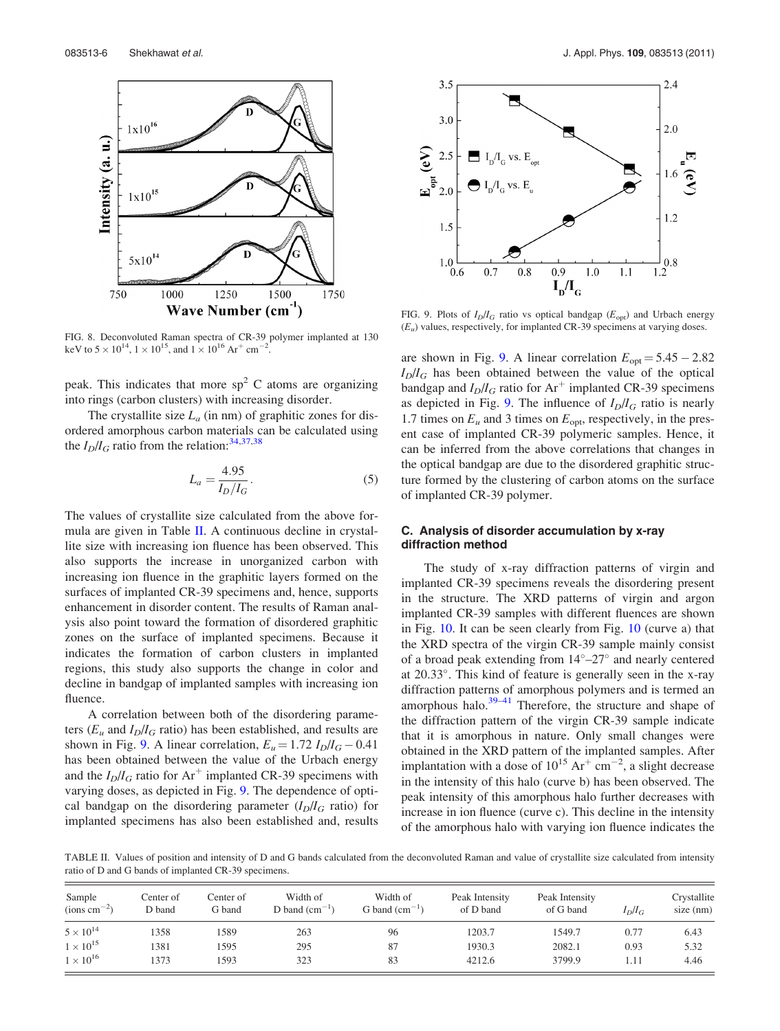<span id="page-6-0"></span>

FIG. 8. Deconvoluted Raman spectra of CR-39 polymer implanted at 130 keV to  $5 \times 10^{14}$ ,  $1 \times 10^{15}$ , and  $1 \times 10^{16}$  Ar<sup>+</sup> cm<sup>-2</sup> .

peak. This indicates that more  $sp<sup>2</sup>$  C atoms are organizing into rings (carbon clusters) with increasing disorder.

The crystallite size  $L_a$  (in nm) of graphitic zones for disordered amorphous carbon materials can be calculated using the  $I_D/I_G$  ratio from the relation: <sup>[34,37,](#page-8-0)[38](#page-9-0)</sup>

$$
L_a = \frac{4.95}{I_D/I_G}.
$$
 (5)

The values of crystallite size calculated from the above formula are given in Table II. A continuous decline in crystallite size with increasing ion fluence has been observed. This also supports the increase in unorganized carbon with increasing ion fluence in the graphitic layers formed on the surfaces of implanted CR-39 specimens and, hence, supports enhancement in disorder content. The results of Raman analysis also point toward the formation of disordered graphitic zones on the surface of implanted specimens. Because it indicates the formation of carbon clusters in implanted regions, this study also supports the change in color and decline in bandgap of implanted samples with increasing ion fluence.

A correlation between both of the disordering parameters ( $E_u$  and  $I_D/I_G$  ratio) has been established, and results are shown in Fig. 9. A linear correlation,  $E_u = 1.72 I_D/I_G - 0.41$ has been obtained between the value of the Urbach energy and the  $I_D/I_G$  ratio for Ar<sup>+</sup> implanted CR-39 specimens with varying doses, as depicted in Fig. 9. The dependence of optical bandgap on the disordering parameter  $(I_D/I_G$  ratio) for implanted specimens has also been established and, results



FIG. 9. Plots of  $I_D/I_G$  ratio vs optical bandgap ( $E_{\text{opt}}$ ) and Urbach energy  $(E_u)$  values, respectively, for implanted CR-39 specimens at varying doses.

are shown in Fig. 9. A linear correlation  $E_{opt} = 5.45 - 2.82$  $I_D/I_G$  has been obtained between the value of the optical bandgap and  $I_D/I_G$  ratio for Ar<sup>+</sup> implanted CR-39 specimens as depicted in Fig. 9. The influence of  $I_D/I_G$  ratio is nearly 1.7 times on  $E_u$  and 3 times on  $E_{\text{opt}}$ , respectively, in the present case of implanted CR-39 polymeric samples. Hence, it can be inferred from the above correlations that changes in the optical bandgap are due to the disordered graphitic structure formed by the clustering of carbon atoms on the surface of implanted CR-39 polymer.

#### C. Analysis of disorder accumulation by x-ray diffraction method

The study of x-ray diffraction patterns of virgin and implanted CR-39 specimens reveals the disordering present in the structure. The XRD patterns of virgin and argon implanted CR-39 samples with different fluences are shown in Fig. [10](#page-7-0). It can be seen clearly from Fig. [10](#page-7-0) (curve a) that the XRD spectra of the virgin CR-39 sample mainly consist of a broad peak extending from  $14^{\circ}-27^{\circ}$  and nearly centered at 20.33°. This kind of feature is generally seen in the x-ray diffraction patterns of amorphous polymers and is termed an amorphous halo. $39-41$  Therefore, the structure and shape of the diffraction pattern of the virgin CR-39 sample indicate that it is amorphous in nature. Only small changes were obtained in the XRD pattern of the implanted samples. After implantation with a dose of  $10^{15} \text{ Ar}^+ \text{ cm}^{-2}$ , a slight decrease in the intensity of this halo (curve b) has been observed. The peak intensity of this amorphous halo further decreases with increase in ion fluence (curve c). This decline in the intensity of the amorphous halo with varying ion fluence indicates the

TABLE II. Values of position and intensity of D and G bands calculated from the deconvoluted Raman and value of crystallite size calculated from intensity ratio of D and G bands of implanted CR-39 specimens.

| Sample<br>$(ions cm-2)$ | Center of<br>D band | Center of<br>G band | Width of<br>D band $\text{(cm}^{-1})$ | Width of<br>G band $\text{(cm}^{-1})$ | Peak Intensity<br>of D band | Peak Intensity<br>of G band | $I_D/I_G$ | Crystallite<br>$size$ (nm) |
|-------------------------|---------------------|---------------------|---------------------------------------|---------------------------------------|-----------------------------|-----------------------------|-----------|----------------------------|
| $5 \times 10^{14}$      | 1358                | 1589                | 263                                   | 96                                    | 1203.7                      | 1549.7                      | 0.77      | 6.43                       |
| $1 \times 10^{15}$      | 1381                | 1595                | 295                                   | 87                                    | 1930.3                      | 2082.1                      | 0.93      | 5.32                       |
| $1 \times 10^{16}$      | 1373                | 1593                | 323                                   | 83                                    | 4212.6                      | 3799.9                      | l.11      | 4.46                       |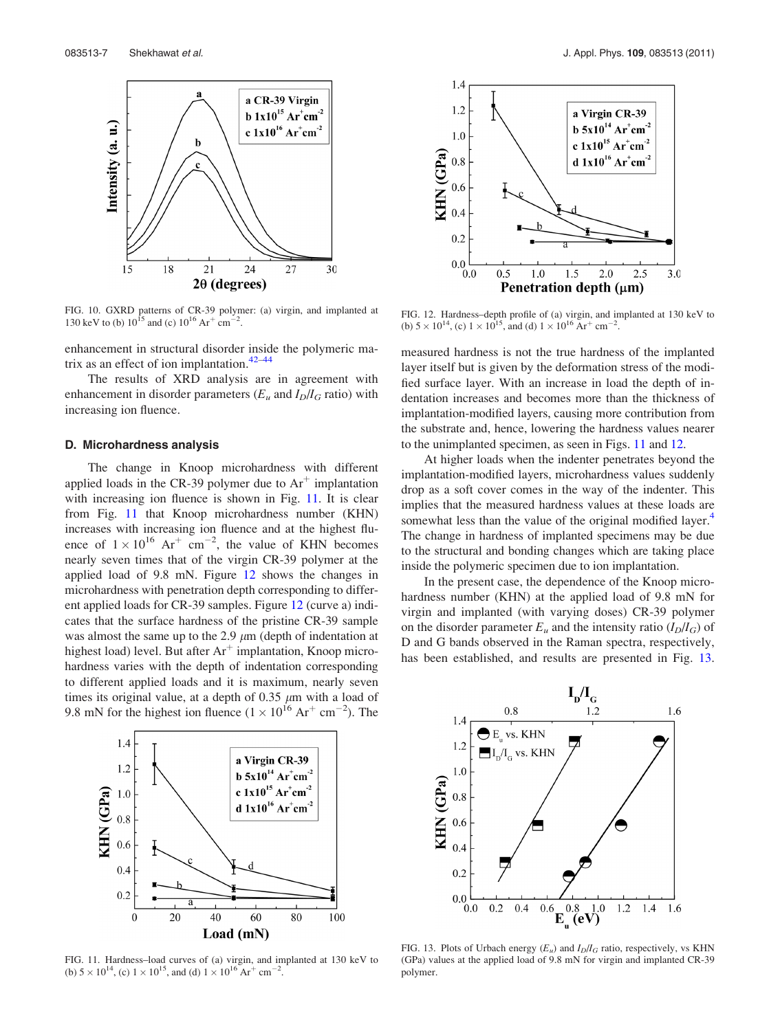<span id="page-7-0"></span>

FIG. 10. GXRD patterns of CR-39 polymer: (a) virgin, and implanted at 130 keV to (b)  $10^{15}$  and (c)  $10^{16}$  Ar<sup>+</sup> cm<sup>-2</sup>.

enhancement in structural disorder inside the polymeric matrix as an effect of ion implantation. $42-44$ 

The results of XRD analysis are in agreement with enhancement in disorder parameters ( $E_u$  and  $I_D/I_G$  ratio) with increasing ion fluence.

#### D. Microhardness analysis

The change in Knoop microhardness with different applied loads in the CR-39 polymer due to  $Ar^+$  implantation with increasing ion fluence is shown in Fig. 11. It is clear from Fig. 11 that Knoop microhardness number (KHN) increases with increasing ion fluence and at the highest fluence of  $1 \times 10^{16}$  Ar<sup>+</sup> cm<sup>-2</sup>, the value of KHN becomes nearly seven times that of the virgin CR-39 polymer at the applied load of 9.8 mN. Figure 12 shows the changes in microhardness with penetration depth corresponding to different applied loads for CR-39 samples. Figure 12 (curve a) indicates that the surface hardness of the pristine CR-39 sample was almost the same up to the 2.9  $\mu$ m (depth of indentation at highest load) level. But after  $Ar^+$  implantation, Knoop microhardness varies with the depth of indentation corresponding to different applied loads and it is maximum, nearly seven times its original value, at a depth of 0.35  $\mu$ m with a load of 9.8 mN for the highest ion fluence  $(1 \times 10^{16} \text{ Ar}^+ \text{ cm}^{-2})$ . The



FIG. 11. Hardness–load curves of (a) virgin, and implanted at 130 keV to (b)  $5 \times 10^{14}$ , (c)  $1 \times 10^{15}$ , and (d)  $1 \times 10^{16}$  Ar<sup>+</sup> cm<sup>-2</sup>.



FIG. 12. Hardness–depth profile of (a) virgin, and implanted at 130 keV to (b)  $5 \times 10^{14}$ , (c)  $1 \times 10^{15}$ , and (d)  $1 \times 10^{16}$  Ar<sup>+</sup> cm<sup>-2</sup>.

measured hardness is not the true hardness of the implanted layer itself but is given by the deformation stress of the modified surface layer. With an increase in load the depth of indentation increases and becomes more than the thickness of implantation-modified layers, causing more contribution from the substrate and, hence, lowering the hardness values nearer to the unimplanted specimen, as seen in Figs. 11 and 12.

At higher loads when the indenter penetrates beyond the implantation-modified layers, microhardness values suddenly drop as a soft cover comes in the way of the indenter. This implies that the measured hardness values at these loads are somewhat less than the value of the original modified layer.<sup>4</sup> The change in hardness of implanted specimens may be due to the structural and bonding changes which are taking place inside the polymeric specimen due to ion implantation.

In the present case, the dependence of the Knoop microhardness number (KHN) at the applied load of 9.8 mN for virgin and implanted (with varying doses) CR-39 polymer on the disorder parameter  $E_u$  and the intensity ratio  $(I_D/I_G)$  of D and G bands observed in the Raman spectra, respectively, has been established, and results are presented in Fig. 13.



FIG. 13. Plots of Urbach energy  $(E_u)$  and  $I_D/I_G$  ratio, respectively, vs KHN (GPa) values at the applied load of 9.8 mN for virgin and implanted CR-39 polymer.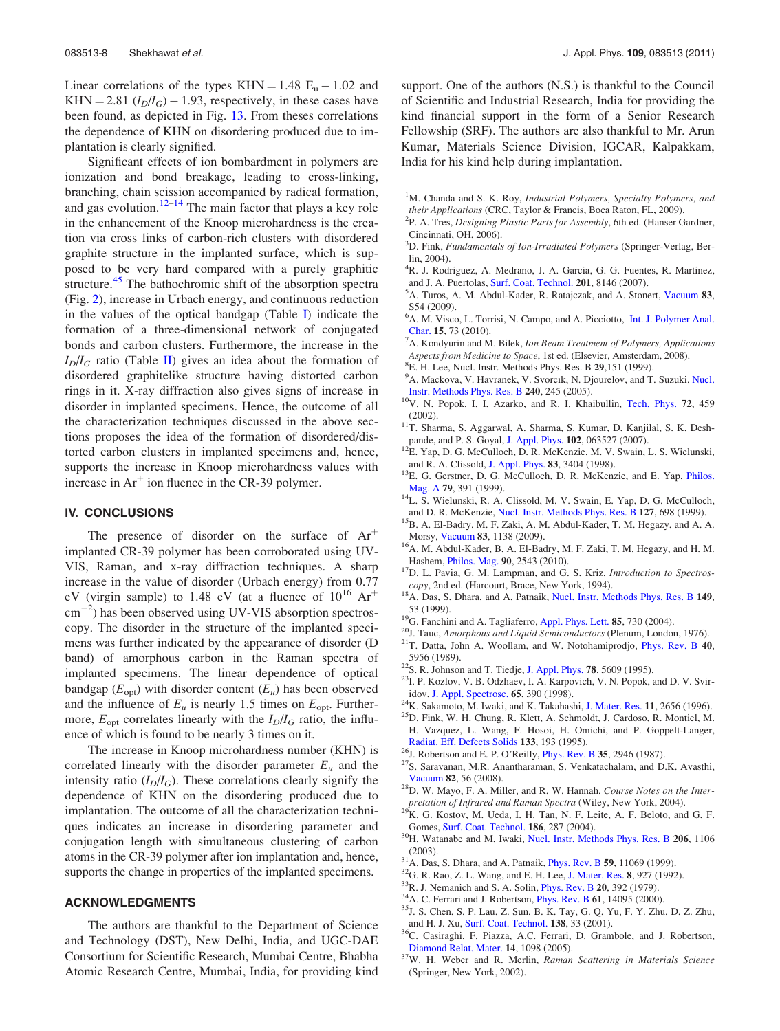<span id="page-8-0"></span>Linear correlations of the types KHN =  $1.48$  E<sub>u</sub>  $- 1.02$  and KHN = 2.81  $(I_D/I_G)$  – 1.93, respectively, in these cases have been found, as depicted in Fig. [13](#page-7-0). From theses correlations the dependence of KHN on disordering produced due to implantation is clearly signified.

Significant effects of ion bombardment in polymers are ionization and bond breakage, leading to cross-linking, branching, chain scission accompanied by radical formation, and gas evolution.<sup>12–14</sup> The main factor that plays a key role in the enhancement of the Knoop microhardness is the creation via cross links of carbon-rich clusters with disordered graphite structure in the implanted surface, which is supposed to be very hard compared with a purely graphitic structure.<sup>[45](#page-9-0)</sup> The bathochromic shift of the absorption spectra (Fig. [2\)](#page-2-0), increase in Urbach energy, and continuous reduction in the values of the optical bandgap (Table [I](#page-4-0)) indicate the formation of a three-dimensional network of conjugated bonds and carbon clusters. Furthermore, the increase in the  $I_D/I_G$  ratio (Table [II\)](#page-6-0) gives an idea about the formation of disordered graphitelike structure having distorted carbon rings in it. X-ray diffraction also gives signs of increase in disorder in implanted specimens. Hence, the outcome of all the characterization techniques discussed in the above sections proposes the idea of the formation of disordered/distorted carbon clusters in implanted specimens and, hence, supports the increase in Knoop microhardness values with increase in  $Ar^+$  ion fluence in the CR-39 polymer.

#### IV. CONCLUSIONS

The presence of disorder on the surface of  $Ar<sup>+</sup>$ implanted CR-39 polymer has been corroborated using UV-VIS, Raman, and x-ray diffraction techniques. A sharp increase in the value of disorder (Urbach energy) from 0.77 eV (virgin sample) to 1.48 eV (at a fluence of  $10^{16}$  Ar<sup>+</sup>  $\text{cm}^{-2}$ ) has been observed using UV-VIS absorption spectroscopy. The disorder in the structure of the implanted specimens was further indicated by the appearance of disorder (D band) of amorphous carbon in the Raman spectra of implanted specimens. The linear dependence of optical bandgap ( $E_{opt}$ ) with disorder content ( $E_u$ ) has been observed and the influence of  $E_u$  is nearly 1.5 times on  $E_{opt}$ . Furthermore,  $E_{opt}$  correlates linearly with the  $I_D/I_G$  ratio, the influence of which is found to be nearly 3 times on it.

The increase in Knoop microhardness number (KHN) is correlated linearly with the disorder parameter  $E_u$  and the intensity ratio  $(I_D/I_G)$ . These correlations clearly signify the dependence of KHN on the disordering produced due to implantation. The outcome of all the characterization techniques indicates an increase in disordering parameter and conjugation length with simultaneous clustering of carbon atoms in the CR-39 polymer after ion implantation and, hence, supports the change in properties of the implanted specimens.

#### ACKNOWLEDGMENTS

The authors are thankful to the Department of Science and Technology (DST), New Delhi, India, and UGC-DAE Consortium for Scientific Research, Mumbai Centre, Bhabha Atomic Research Centre, Mumbai, India, for providing kind support. One of the authors (N.S.) is thankful to the Council of Scientific and Industrial Research, India for providing the kind financial support in the form of a Senior Research Fellowship (SRF). The authors are also thankful to Mr. Arun Kumar, Materials Science Division, IGCAR, Kalpakkam, India for his kind help during implantation.

- <sup>1</sup>M. Chanda and S. K. Roy, Industrial Polymers, Specialty Polymers, and their Applications (CRC, Taylor & Francis, Boca Raton, FL, 2009).
- <sup>2</sup>P. A. Tres, Designing Plastic Parts for Assembly, 6th ed. (Hanser Gardner, Cincinnati, OH, 2006).
- <sup>3</sup>D. Fink, Fundamentals of Ion-Irradiated Polymers (Springer-Verlag, Berlin, 2004).
- <sup>4</sup>R. J. Rodriguez, A. Medrano, J. A. Garcia, G. G. Fuentes, R. Martinez, and J. A. Puertolas, [Surf. Coat. Technol.](http://dx.doi.org/10.1016/j.surfcoat.2006.12.030) 201, 8146 (2007).
- <sup>5</sup>A. Turos, A. M. Abdul-Kader, R. Ratajczak, and A. Stonert, [Vacuum](http://dx.doi.org/10.1016/j.vacuum.2009.01.021) 83, S54 (2009).
- <sup>6</sup>A. M. Visco, L. Torrisi, N. Campo, and A. Picciotto, [Int. J. Polymer Anal.](http://dx.doi.org/10.1080/10236660903518880) [Char.](http://dx.doi.org/10.1080/10236660903518880) 15, 73 (2010).
- $A^7$ A. Kondyurin and M. Bilek, Ion Beam Treatment of Polymers, Applications Aspects from Medicine to Space, 1st ed. (Elsevier, Amsterdam, 2008).
- ${}^{8}E$ . H. Lee, Nucl. Instr. Methods Phys. Res. B 29,151 (1999).
- <sup>9</sup>A. Mackova, V. Havranek, V. Svorcık, N. Djourelov, and T. Suzuki, [Nucl.](http://dx.doi.org/10.1016/j.nimb.2005.06.124)
- [Instr. Methods Phys. Res. B](http://dx.doi.org/10.1016/j.nimb.2005.06.124) 240, 245 (2005). <sup>10</sup>V. N. Popok, I. I. Azarko, and R. I. Khaibullin, [Tech. Phys.](http://dx.doi.org/10.1134/1.1470595) 72, 459
- (2002).  $11T$ . Sharma, S. Aggarwal, A. Sharma, S. Kumar, D. Kanjilal, S. K. Desh-<br>pande, and P. S. Goyal, J. Appl. Phys.  $102$ , 063527 (2007).
- $12E^2$ . Yap, D. G. McCulloch, D. R. McKenzie, M. V. Swain, L. S. Wielunski,
- and R. A. Clissold, [J. Appl. Phys.](http://dx.doi.org/10.1063/1.367108) <sup>83</sup>, 3404 (1998). 13E. G. Gerstner, D. G. McCulloch, D. R. McKenzie, and E. Yap, [Philos.](http://dx.doi.org/10.1080/01418619908210305)
- [Mag. A](http://dx.doi.org/10.1080/01418619908210305) 79, 391 (1999).<br><sup>14</sup>L. S. Wielunski, R. A. Clissold, M. V. Swain, E. Yap, D. G. McCulloch, and D. R. McKenzie, Nucl. Instr. Methods Phys. Res. **B 127**, 698 (1999).
- $^{15}$ B. A. El-Badry, M. F. Zaki, A. M. Abdul-Kader, T. M. Hegazy, and A. A.
- Morsy, [Vacuum](http://dx.doi.org/10.1016/j.vacuum.2009.02.010) 83, 1138 (2009).<br><sup>16</sup>A. M. Abdul-Kader, B. A. El-Badry, M. F. Zaki, T. M. Hegazy, and H. M. Hashem, *Philos. Mag.* 90, 2543 (2010).
- $^{17}$ D. L. Pavia, G. M. Lampman, and G. S. Kriz, Introduction to Spectros-
- copy, 2nd ed. (Harcourt, Brace, New York, 1994).  $18A$ . Das, S. Dhara, and A. Patnaik, [Nucl. Instr. Methods Phys. Res. B](http://dx.doi.org/10.1016/S0168-583X(98)00613-2) 149,
- 
- 53 (1999). <sup>19</sup>G. Fanchini and A. Tagliaferro, [Appl. Phys. Lett.](http://dx.doi.org/10.1063/1.1776633) **85**, 730 (2004). <sup>20</sup>J. Tauc, *Amorphous and Liquid Semiconductors* (Plenum, London, 1976). <sup>21</sup>T. Datta, John A. Woollam, and W. Notohamiprodjo, Phys. Rev
- 5956 (1989).  $22$ S. R. Johnson and T. Tiedje, [J. Appl. Phys.](http://dx.doi.org/10.1063/1.359683) **78**, 5609 (1995).  $23$ I. P. Kozlov, V. B. Odzhaev, I. A. Karpovich, V. N. Popok, and D. V. Svir-
- 
- 
- idov, [J. Appl. Spectrosc.](http://dx.doi.org/10.1007/BF02675458) 65, 390 (1998).  $^{24}$ K. Sakamoto, M. Iwaki, and K. Takahashi, [J. Mater. Res.](http://dx.doi.org/10.1557/JMR.1996.0334) 11, 2656 (1996).  $^{25}$ D. Fink, W. H. Chung, R. Klett, A. Schmoldt, J. Cardoso, R. Montiel, M.
- H. Vazquez, L. Wang, F. Hosoi, H. Omichi, and P. Goppelt-Langer,
- 
- [Radiat. Eff. Defects Solids](http://dx.doi.org/10.1080/10420159508223990) 133, 193 (1995). <sup>26</sup>J. Robertson and E. P. O'Reilly, [Phys. Rev. B](http://dx.doi.org/10.1103/PhysRevB.35.2946) 35, 2946 (1987). <sup>27</sup>S. Saravanan, M.R. Anantharaman, S. Venkatachalam, and D.K. Avasthi,
- [Vacuum](http://dx.doi.org/10.1016/j.vacuum.2007.03.008) 82, 56 (2008). <sup>28</sup>D. W. Mayo, F. A. Miller, and R. W. Hannah, *Course Notes on the Inter-*
- pretation of Infrared and Raman Spectra (Wiley, New York, 2004). <sup>29</sup>K. G. Kostov, M. Ueda, I. H. Tan, N. F. Leite, A. F. Beloto, and G. F.
- Gomes, [Surf. Coat. Technol.](http://dx.doi.org/10.1016/j.surfcoat.2004.03.033) **186**, 287 (2004).<br><sup>30</sup>H. Watanabe and M. Iwaki, [Nucl. Instr. Methods Phys. Res. B](http://dx.doi.org/10.1016/S0168-583X(03)00920-0) **206**, 1106
- 
- 
- 
- 
- (2003).<br><sup>31</sup> A. Das, S. Dhara, and A. Patnaik, *[Phys. Rev. B](http://dx.doi.org/10.1103/PhysRevB.61.14095)* **59**, 11069 (1999).<br><sup>32</sup> G. R. Rao, Z. L. Wang, and E. H. Lee, [J. Mater. Res.](http://dx.doi.org/10.1557/JMR.1993.0927) **8**, 927 (1992).<br><sup>33</sup> R. J. Nemanich and S. A. Solin, *Phys. Rev. B* **20**, 392 (1 and H. J. Xu, [Surf. Coat. Technol.](http://dx.doi.org/10.1016/S0257-8972(00)01126-9) **138**, 33 (2001).  $^{36}$ C. Casiraghi, F. Piazza, A.C. Ferrari, D. Grambole, and J. Robertson,
- 
- [Diamond Relat. Mater.](http://dx.doi.org/10.1016/j.diamond.2004.10.030) 14, 1098 (2005).<br><sup>37</sup>W. H. Weber and R. Merlin, *Raman Scattering in Materials Science* (Springer, New York, 2002).